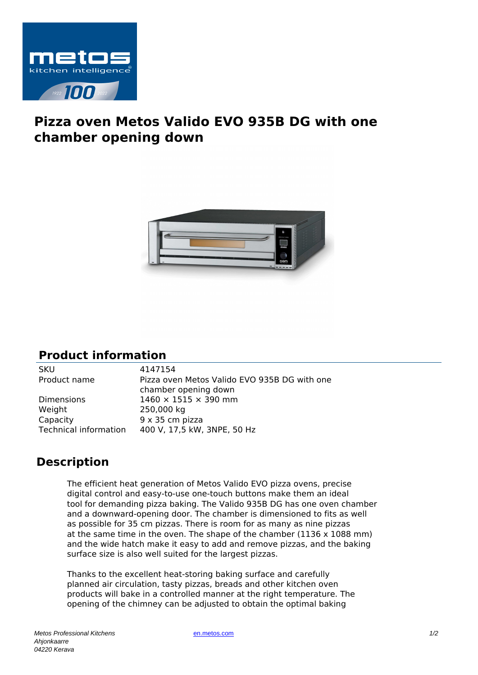

## **Pizza oven Metos Valido EVO 935B DG with one chamber opening down**



## **Product information**

| <b>SKU</b>                   | 4147154                                                              |
|------------------------------|----------------------------------------------------------------------|
| Product name                 | Pizza oven Metos Valido EVO 935B DG with one<br>chamber opening down |
| <b>Dimensions</b>            | $1460 \times 1515 \times 390$ mm                                     |
| Weight                       | 250,000 kg                                                           |
| Capacity                     | 9 x 35 cm pizza                                                      |
| <b>Technical information</b> | 400 V, 17,5 kW, 3NPE, 50 Hz                                          |
|                              |                                                                      |

## **Description**

The efficient heat generation of Metos Valido EVO pizza ovens, precise digital control and easy-to-use one-touch buttons make them an ideal tool for demanding pizza baking. The Valido 935B DG has one oven chamber and a downward-opening door. The chamber is dimensioned to fits as well as possible for 35 cm pizzas. There is room for as many as nine pizzas at the same time in the oven. The shape of the chamber (1136 x 1088 mm) and the wide hatch make it easy to add and remove pizzas, and the baking surface size is also well suited for the largest pizzas.

Thanks to the excellent heat-storing baking surface and carefully planned air circulation, tasty pizzas, breads and other kitchen oven products will bake in a controlled manner at the right temperature. The opening of the chimney can be adjusted to obtain the optimal baking